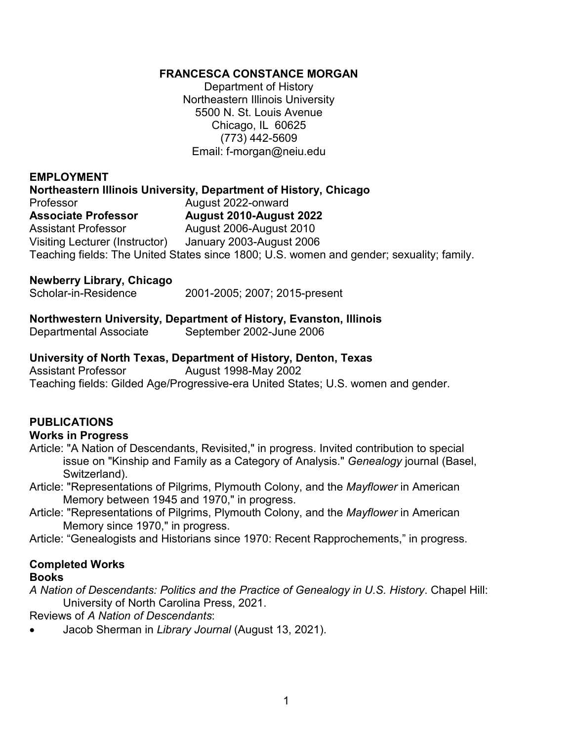#### **FRANCESCA CONSTANCE MORGAN**

Department of History Northeastern Illinois University 5500 N. St. Louis Avenue Chicago, IL 60625 (773) 442-5609 Email: f-morgan@neiu.edu

#### **EMPLOYMENT**

#### **Northeastern Illinois University, Department of History, Chicago**

Professor **August 2022-onward Associate Professor August 2010-August 2022** Assistant Professor **August 2006-August 2010** Visiting Lecturer (Instructor) January 2003-August 2006 Teaching fields: The United States since 1800; U.S. women and gender; sexuality; family.

# **Newberry Library, Chicago**

2001-2005; 2007; 2015-present

#### **Northwestern University, Department of History, Evanston, Illinois**

Departmental Associate September 2002-June 2006

#### **University of North Texas, Department of History, Denton, Texas**

Assistant Professor August 1998-May 2002 Teaching fields: Gilded Age/Progressive-era United States; U.S. women and gender.

#### **PUBLICATIONS**

#### **Works in Progress**

- Article: "A Nation of Descendants, Revisited," in progress. Invited contribution to special issue on "Kinship and Family as a Category of Analysis." *Genealogy* journal (Basel, Switzerland).
- Article: "Representations of Pilgrims, Plymouth Colony, and the *Mayflower* in American Memory between 1945 and 1970," in progress.
- Article: "Representations of Pilgrims, Plymouth Colony, and the *Mayflower* in American Memory since 1970," in progress.

Article: "Genealogists and Historians since 1970: Recent Rapprochements," in progress.

# **Completed Works**

#### **Books**

*A Nation of Descendants: Politics and the Practice of Genealogy in U.S. History*. Chapel Hill: University of North Carolina Press, 2021.

Reviews of *A Nation of Descendants*:

• Jacob Sherman in *Library Journal* (August 13, 2021).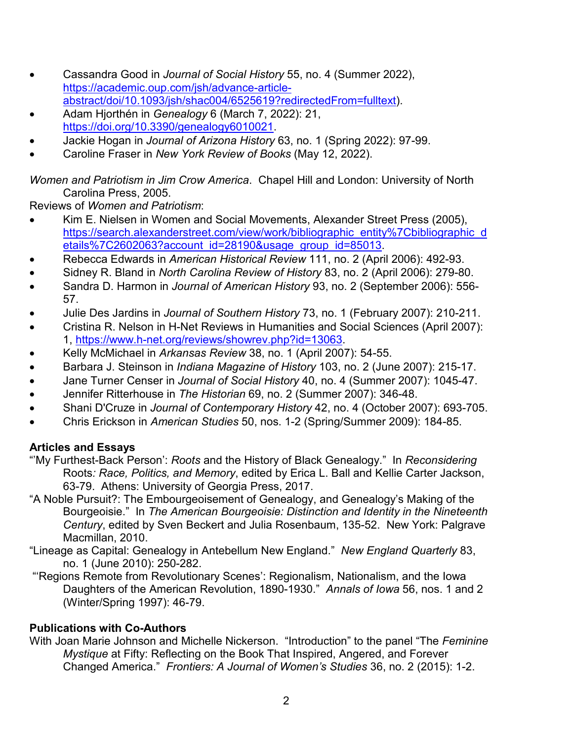- Cassandra Good in *Journal of Social History* 55, no. 4 (Summer 2022), [https://academic.oup.com/jsh/advance-article](https://academic.oup.com/jsh/advance-article-abstract/doi/10.1093/jsh/shac004/6525619?redirectedFrom=fulltext)[abstract/doi/10.1093/jsh/shac004/6525619?redirectedFrom=fulltext\)](https://academic.oup.com/jsh/advance-article-abstract/doi/10.1093/jsh/shac004/6525619?redirectedFrom=fulltext).
- Adam Hjorthén in *Genealogy* 6 (March 7, 2022): 21, [https://doi.org/10.3390/genealogy6010021.](https://doi.org/10.3390/genealogy6010021)
- Jackie Hogan in *Journal of Arizona History* 63, no. 1 (Spring 2022): 97-99.
- Caroline Fraser in *New York Review of Books* (May 12, 2022).

*Women and Patriotism in Jim Crow America*. Chapel Hill and London: University of North Carolina Press, 2005.

Reviews of *Women and Patriotism*:

- Kim E. Nielsen in Women and Social Movements, Alexander Street Press (2005), [https://search.alexanderstreet.com/view/work/bibliographic\\_entity%7Cbibliographic\\_d](https://search.alexanderstreet.com/view/work/bibliographic_entity%7Cbibliographic_details%7C2602063?account_id=28190&usage_group_id=85013) [etails%7C2602063?account\\_id=28190&usage\\_group\\_id=85013.](https://search.alexanderstreet.com/view/work/bibliographic_entity%7Cbibliographic_details%7C2602063?account_id=28190&usage_group_id=85013)
- Rebecca Edwards in *American Historical Review* 111, no. 2 (April 2006): 492-93.
- Sidney R. Bland in *North Carolina Review of History* 83, no. 2 (April 2006): 279-80.
- Sandra D. Harmon in *Journal of American History* 93, no. 2 (September 2006): 556- 57.
- Julie Des Jardins in *Journal of Southern History* 73, no. 1 (February 2007): 210-211.
- Cristina R. Nelson in H-Net Reviews in Humanities and Social Sciences (April 2007): 1, [https://www.h-net.org/reviews/showrev.php?id=13063.](https://www.h-net.org/reviews/showrev.php?id=13063)
- Kelly McMichael in *Arkansas Review* 38, no. 1 (April 2007): 54-55.
- Barbara J. Steinson in *Indiana Magazine of History* 103, no. 2 (June 2007): 215-17.
- Jane Turner Censer in *Journal of Social History* 40, no. 4 (Summer 2007): 1045-47.
- Jennifer Ritterhouse in *The Historian* 69, no. 2 (Summer 2007): 346-48.
- Shani D'Cruze in *Journal of Contemporary History* 42, no. 4 (October 2007): 693-705.
- Chris Erickson in *American Studies* 50, nos. 1-2 (Spring/Summer 2009): 184-85.

# **Articles and Essays**

- "'My Furthest-Back Person': *Roots* and the History of Black Genealogy." In *Reconsidering*  Roots*: Race, Politics, and Memory*, edited by Erica L. Ball and Kellie Carter Jackson, 63-79. Athens: University of Georgia Press, 2017.
- "A Noble Pursuit?: The Embourgeoisement of Genealogy, and Genealogy's Making of the Bourgeoisie." In *The American Bourgeoisie: Distinction and Identity in the Nineteenth Century*, edited by Sven Beckert and Julia Rosenbaum, 135-52. New York: Palgrave Macmillan, 2010.
- "Lineage as Capital: Genealogy in Antebellum New England." *New England Quarterly* 83, no. 1 (June 2010): 250-282.
- "'Regions Remote from Revolutionary Scenes': Regionalism, Nationalism, and the Iowa Daughters of the American Revolution, 1890-1930." *Annals of Iowa* 56, nos. 1 and 2 (Winter/Spring 1997): 46-79.

# **Publications with Co-Authors**

With Joan Marie Johnson and Michelle Nickerson. "Introduction" to the panel "The *Feminine Mystique* at Fifty: Reflecting on the Book That Inspired, Angered, and Forever Changed America." *Frontiers: A Journal of Women's Studies* 36, no. 2 (2015): 1-2.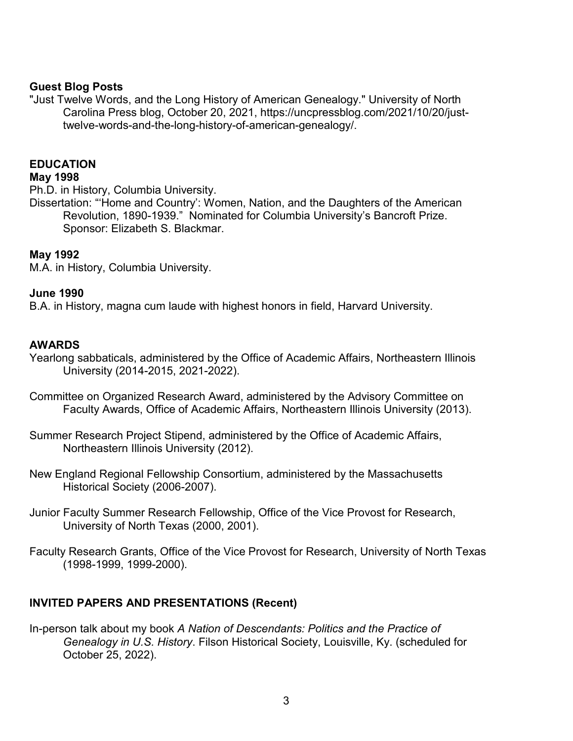#### **Guest Blog Posts**

"Just Twelve Words, and the Long History of American Genealogy." University of North Carolina Press blog, October 20, 2021, https://uncpressblog.com/2021/10/20/justtwelve-words-and-the-long-history-of-american-genealogy/.

#### **EDUCATION**

#### **May 1998**

Ph.D. in History, Columbia University.

Dissertation: "'Home and Country': Women, Nation, and the Daughters of the American Revolution, 1890-1939." Nominated for Columbia University's Bancroft Prize. Sponsor: Elizabeth S. Blackmar.

#### **May 1992**

M.A. in History, Columbia University.

#### **June 1990**

B.A. in History, magna cum laude with highest honors in field, Harvard University.

## **AWARDS**

Yearlong sabbaticals, administered by the Office of Academic Affairs, Northeastern Illinois University (2014-2015, 2021-2022).

- Committee on Organized Research Award, administered by the Advisory Committee on Faculty Awards, Office of Academic Affairs, Northeastern Illinois University (2013).
- Summer Research Project Stipend, administered by the Office of Academic Affairs, Northeastern Illinois University (2012).
- New England Regional Fellowship Consortium, administered by the Massachusetts Historical Society (2006-2007).
- Junior Faculty Summer Research Fellowship, Office of the Vice Provost for Research, University of North Texas (2000, 2001).
- Faculty Research Grants, Office of the Vice Provost for Research, University of North Texas (1998-1999, 1999-2000).

# **INVITED PAPERS AND PRESENTATIONS (Recent)**

In-person talk about my book *A Nation of Descendants: Politics and the Practice of Genealogy in U.S. History*. Filson Historical Society, Louisville, Ky. (scheduled for October 25, 2022).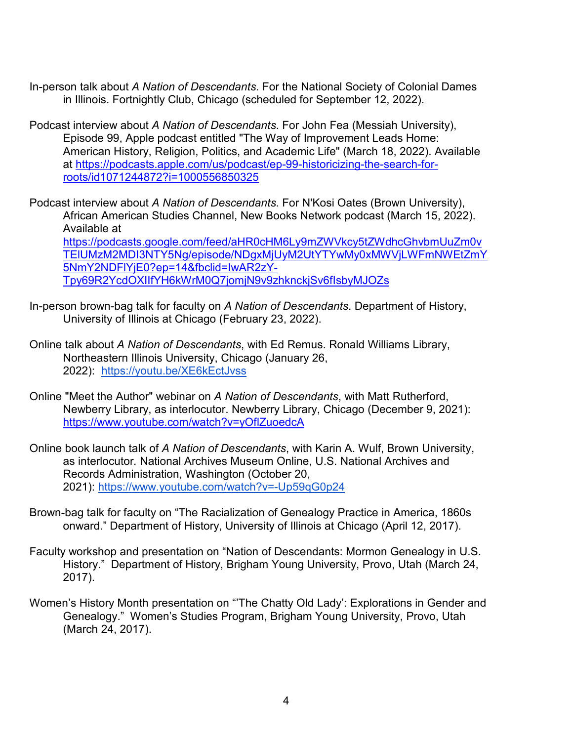- In-person talk about *A Nation of Descendants*. For the National Society of Colonial Dames in Illinois. Fortnightly Club, Chicago (scheduled for September 12, 2022).
- Podcast interview about *A Nation of Descendants*. For John Fea (Messiah University), Episode 99, Apple podcast entitled "The Way of Improvement Leads Home: American History, Religion, Politics, and Academic Life" (March 18, 2022). Available at [https://podcasts.apple.com/us/podcast/ep-99-historicizing-the-search-for](https://podcasts.apple.com/us/podcast/ep-99-historicizing-the-search-for-roots/id1071244872?i=1000556850325)[roots/id1071244872?i=1000556850325](https://podcasts.apple.com/us/podcast/ep-99-historicizing-the-search-for-roots/id1071244872?i=1000556850325)

Podcast interview about *A Nation of Descendants*. For N'Kosi Oates (Brown University), African American Studies Channel, New Books Network podcast (March 15, 2022). Available at [https://podcasts.google.com/feed/aHR0cHM6Ly9mZWVkcy5tZWdhcGhvbmUuZm0v](https://podcasts.google.com/feed/aHR0cHM6Ly9mZWVkcy5tZWdhcGhvbmUuZm0vTElUMzM2MDI3NTY5Ng/episode/NDgxMjUyM2UtYTYwMy0xMWVjLWFmNWEtZmY5NmY2NDFlYjE0?ep=14&fbclid=IwAR2zY-Tpy69R2YcdOXIIfYH6kWrM0Q7jomjN9v9zhknckjSv6fIsbyMJOZs) [TElUMzM2MDI3NTY5Ng/episode/NDgxMjUyM2UtYTYwMy0xMWVjLWFmNWEtZmY](https://podcasts.google.com/feed/aHR0cHM6Ly9mZWVkcy5tZWdhcGhvbmUuZm0vTElUMzM2MDI3NTY5Ng/episode/NDgxMjUyM2UtYTYwMy0xMWVjLWFmNWEtZmY5NmY2NDFlYjE0?ep=14&fbclid=IwAR2zY-Tpy69R2YcdOXIIfYH6kWrM0Q7jomjN9v9zhknckjSv6fIsbyMJOZs) [5NmY2NDFlYjE0?ep=14&fbclid=IwAR2zY-](https://podcasts.google.com/feed/aHR0cHM6Ly9mZWVkcy5tZWdhcGhvbmUuZm0vTElUMzM2MDI3NTY5Ng/episode/NDgxMjUyM2UtYTYwMy0xMWVjLWFmNWEtZmY5NmY2NDFlYjE0?ep=14&fbclid=IwAR2zY-Tpy69R2YcdOXIIfYH6kWrM0Q7jomjN9v9zhknckjSv6fIsbyMJOZs)[Tpy69R2YcdOXIIfYH6kWrM0Q7jomjN9v9zhknckjSv6fIsbyMJOZs](https://podcasts.google.com/feed/aHR0cHM6Ly9mZWVkcy5tZWdhcGhvbmUuZm0vTElUMzM2MDI3NTY5Ng/episode/NDgxMjUyM2UtYTYwMy0xMWVjLWFmNWEtZmY5NmY2NDFlYjE0?ep=14&fbclid=IwAR2zY-Tpy69R2YcdOXIIfYH6kWrM0Q7jomjN9v9zhknckjSv6fIsbyMJOZs)

- In-person brown-bag talk for faculty on *A Nation of Descendants*. Department of History, University of Illinois at Chicago (February 23, 2022).
- Online talk about *A Nation of Descendants*, with Ed Remus. Ronald Williams Library, Northeastern Illinois University, Chicago (January 26, 2022): <https://youtu.be/XE6kEctJvss>
- Online "Meet the Author" webinar on *A Nation of Descendants*, with Matt Rutherford, Newberry Library, as interlocutor. Newberry Library, Chicago (December 9, 2021): <https://www.youtube.com/watch?v=yOflZuoedcA>
- Online book launch talk of *A Nation of Descendants*, with Karin A. Wulf, Brown University, as interlocutor*.* National Archives Museum Online, U.S. National Archives and Records Administration, Washington (October 20, 2021): <https://www.youtube.com/watch?v=-Up59qG0p24>
- Brown-bag talk for faculty on "The Racialization of Genealogy Practice in America, 1860s onward." Department of History, University of Illinois at Chicago (April 12, 2017).
- Faculty workshop and presentation on "Nation of Descendants: Mormon Genealogy in U.S. History." Department of History, Brigham Young University, Provo, Utah (March 24, 2017).
- Women's History Month presentation on "'The Chatty Old Lady': Explorations in Gender and Genealogy." Women's Studies Program, Brigham Young University, Provo, Utah (March 24, 2017).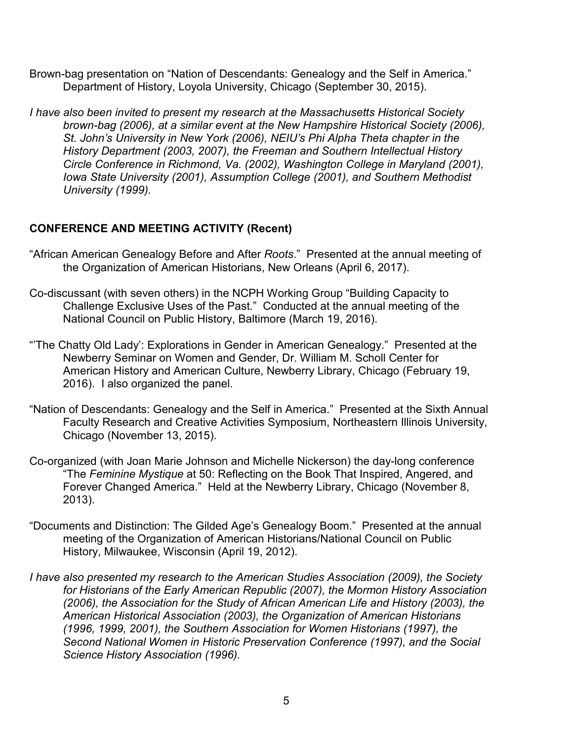- Brown-bag presentation on "Nation of Descendants: Genealogy and the Self in America." Department of History, Loyola University, Chicago (September 30, 2015).
- *I have also been invited to present my research at the Massachusetts Historical Society brown-bag (2006), at a similar event at the New Hampshire Historical Society (2006), St. John's University in New York (2006), NEIU's Phi Alpha Theta chapter in the History Department (2003, 2007), the Freeman and Southern Intellectual History Circle Conference in Richmond, Va. (2002), Washington College in Maryland (2001), Iowa State University (2001), Assumption College (2001), and Southern Methodist University (1999).*

## **CONFERENCE AND MEETING ACTIVITY (Recent)**

- "African American Genealogy Before and After *Roots*." Presented at the annual meeting of the Organization of American Historians, New Orleans (April 6, 2017).
- Co-discussant (with seven others) in the NCPH Working Group "Building Capacity to Challenge Exclusive Uses of the Past." Conducted at the annual meeting of the National Council on Public History, Baltimore (March 19, 2016).
- "'The Chatty Old Lady': Explorations in Gender in American Genealogy." Presented at the Newberry Seminar on Women and Gender, Dr. William M. Scholl Center for American History and American Culture, Newberry Library, Chicago (February 19, 2016). I also organized the panel.
- "Nation of Descendants: Genealogy and the Self in America." Presented at the Sixth Annual Faculty Research and Creative Activities Symposium, Northeastern Illinois University, Chicago (November 13, 2015).
- Co-organized (with Joan Marie Johnson and Michelle Nickerson) the day-long conference "The *Feminine Mystique* at 50: Reflecting on the Book That Inspired, Angered, and Forever Changed America." Held at the Newberry Library, Chicago (November 8, 2013).
- "Documents and Distinction: The Gilded Age's Genealogy Boom." Presented at the annual meeting of the Organization of American Historians/National Council on Public History, Milwaukee, Wisconsin (April 19, 2012).
- *I have also presented my research to the American Studies Association (2009), the Society for Historians of the Early American Republic (2007), the Mormon History Association (2006), the Association for the Study of African American Life and History (2003), the American Historical Association (2003), the Organization of American Historians (1996, 1999, 2001), the Southern Association for Women Historians (1997), the Second National Women in Historic Preservation Conference (1997), and the Social Science History Association (1996).*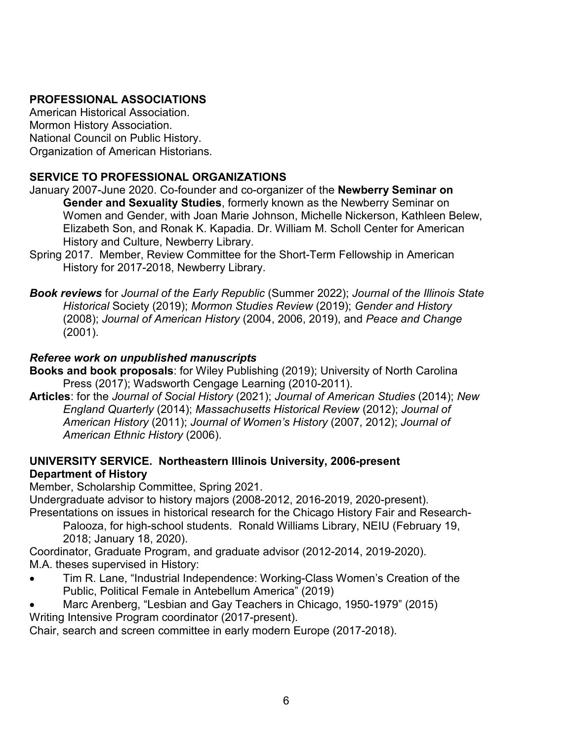# **PROFESSIONAL ASSOCIATIONS**

American Historical Association. Mormon History Association. National Council on Public History. Organization of American Historians.

# **SERVICE TO PROFESSIONAL ORGANIZATIONS**

- January 2007-June 2020. Co-founder and co-organizer of the **Newberry Seminar on Gender and Sexuality Studies**, formerly known as the Newberry Seminar on Women and Gender, with Joan Marie Johnson, Michelle Nickerson, Kathleen Belew, Elizabeth Son, and Ronak K. Kapadia. Dr. William M. Scholl Center for American History and Culture, Newberry Library.
- Spring 2017. Member, Review Committee for the Short-Term Fellowship in American History for 2017-2018, Newberry Library.

*Book reviews* for *Journal of the Early Republic* (Summer 2022); *Journal of the Illinois State Historical* Society (2019); *Mormon Studies Review* (2019); *Gender and History* (2008); *Journal of American History* (2004, 2006, 2019), and *Peace and Change* (2001).

# *Referee work on unpublished manuscripts*

- **Books and book proposals**: for Wiley Publishing (2019); University of North Carolina Press (2017); Wadsworth Cengage Learning (2010-2011).
- **Articles**: for the *Journal of Social History* (2021); *Journal of American Studies* (2014); *New England Quarterly* (2014); *Massachusetts Historical Review* (2012); *Journal of American History* (2011); *Journal of Women's History* (2007, 2012); *Journal of American Ethnic History* (2006).

# **UNIVERSITY SERVICE. Northeastern Illinois University, 2006-present Department of History**

Member, Scholarship Committee, Spring 2021.

Undergraduate advisor to history majors (2008-2012, 2016-2019, 2020-present).

Presentations on issues in historical research for the Chicago History Fair and Research-Palooza, for high-school students. Ronald Williams Library, NEIU (February 19,

2018; January 18, 2020).

Coordinator, Graduate Program, and graduate advisor (2012-2014, 2019-2020). M.A. theses supervised in History:

- Tim R. Lane, "Industrial Independence: Working-Class Women's Creation of the Public, Political Female in Antebellum America" (2019)
- Marc Arenberg, "Lesbian and Gay Teachers in Chicago, 1950-1979" (2015) Writing Intensive Program coordinator (2017-present).

Chair, search and screen committee in early modern Europe (2017-2018).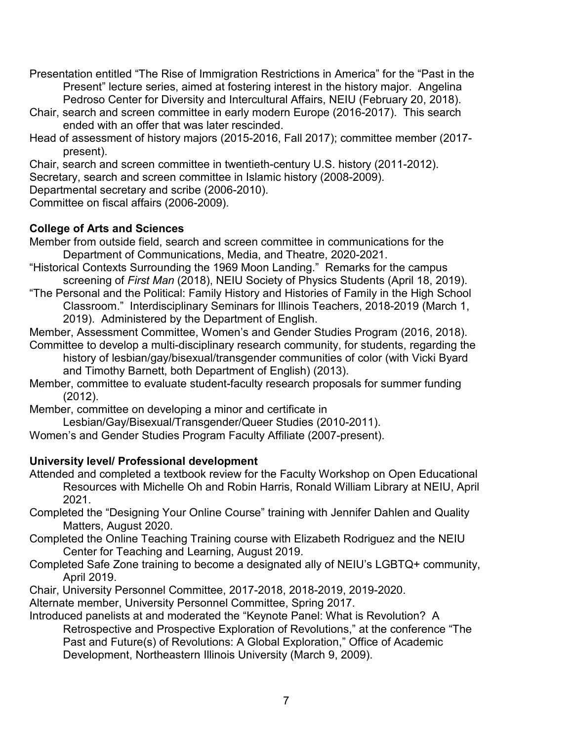Presentation entitled "The Rise of Immigration Restrictions in America" for the "Past in the Present" lecture series, aimed at fostering interest in the history major. Angelina Pedroso Center for Diversity and Intercultural Affairs, NEIU (February 20, 2018).

Chair, search and screen committee in early modern Europe (2016-2017). This search ended with an offer that was later rescinded.

Head of assessment of history majors (2015-2016, Fall 2017); committee member (2017 present).

Chair, search and screen committee in twentieth-century U.S. history (2011-2012).

Secretary, search and screen committee in Islamic history (2008-2009).

Departmental secretary and scribe (2006-2010).

Committee on fiscal affairs (2006-2009).

# **College of Arts and Sciences**

Member from outside field, search and screen committee in communications for the Department of Communications, Media, and Theatre, 2020-2021.

- "Historical Contexts Surrounding the 1969 Moon Landing." Remarks for the campus screening of *First Man* (2018), NEIU Society of Physics Students (April 18, 2019).
- "The Personal and the Political: Family History and Histories of Family in the High School Classroom." Interdisciplinary Seminars for Illinois Teachers, 2018-2019 (March 1, 2019). Administered by the Department of English.

Member, Assessment Committee, Women's and Gender Studies Program (2016, 2018).

- Committee to develop a multi-disciplinary research community, for students, regarding the history of lesbian/gay/bisexual/transgender communities of color (with Vicki Byard and Timothy Barnett, both Department of English) (2013).
- Member, committee to evaluate student-faculty research proposals for summer funding (2012).

Member, committee on developing a minor and certificate in

Lesbian/Gay/Bisexual/Transgender/Queer Studies (2010-2011).

Women's and Gender Studies Program Faculty Affiliate (2007-present).

# **University level/ Professional development**

- Attended and completed a textbook review for the Faculty Workshop on Open Educational Resources with Michelle Oh and Robin Harris, Ronald William Library at NEIU, April 2021.
- Completed the "Designing Your Online Course" training with Jennifer Dahlen and Quality Matters, August 2020.
- Completed the Online Teaching Training course with Elizabeth Rodriguez and the NEIU Center for Teaching and Learning, August 2019.
- Completed Safe Zone training to become a designated ally of NEIU's LGBTQ+ community, April 2019.
- Chair, University Personnel Committee, 2017-2018, 2018-2019, 2019-2020.

Alternate member, University Personnel Committee, Spring 2017.

Introduced panelists at and moderated the "Keynote Panel: What is Revolution? A Retrospective and Prospective Exploration of Revolutions," at the conference "The Past and Future(s) of Revolutions: A Global Exploration," Office of Academic Development, Northeastern Illinois University (March 9, 2009).